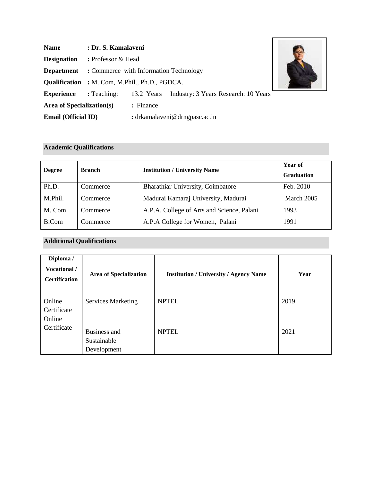| <b>Name</b>                | : Dr. S. Kamalaveni                                   |            |                                      |  |
|----------------------------|-------------------------------------------------------|------------|--------------------------------------|--|
| <b>Designation</b>         | : Professor & Head                                    |            |                                      |  |
| <b>Department</b>          | : Commerce with Information Technology                |            |                                      |  |
|                            | <b>Qualification</b> : M. Com, M.Phil., Ph.D., PGDCA. |            |                                      |  |
| <b>Experience</b>          | : Teaching:                                           | 13.2 Years | Industry: 3 Years Research: 10 Years |  |
| Area of Specialization(s)  |                                                       | : Finance  |                                      |  |
| <b>Email (Official ID)</b> |                                                       |            | : drkamalaveni@drngpasc.ac.in        |  |

## **Academic Qualifications**

| <b>Degree</b> | <b>Branch</b> | <b>Institution / University Name</b>       | Year of<br><b>Graduation</b> |
|---------------|---------------|--------------------------------------------|------------------------------|
| Ph.D.         | Commerce      | <b>Bharathiar University, Coimbatore</b>   | Feb. 2010                    |
| M.Phil.       | Commerce      | Madurai Kamaraj University, Madurai        | March 2005                   |
| M. Com        | Commerce      | A.P.A. College of Arts and Science, Palani | 1993                         |
| B.Com         | Commerce      | A.P.A College for Women, Palani            | 1991                         |

# **Additional Qualifications**

| Diploma /<br>Vocational /<br><b>Certification</b> | <b>Area of Specialization</b>              | <b>Institution / University / Agency Name</b> | Year |
|---------------------------------------------------|--------------------------------------------|-----------------------------------------------|------|
| Online                                            | <b>Services Marketing</b>                  | <b>NPTEL</b>                                  | 2019 |
| Certificate                                       |                                            |                                               |      |
| Online                                            |                                            |                                               |      |
| Certificate                                       | Business and<br>Sustainable<br>Development | <b>NPTEL</b>                                  | 2021 |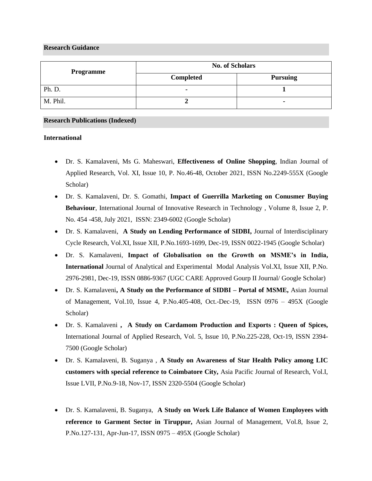#### **Research Guidance**

| Programme | <b>No. of Scholars</b> |                 |  |
|-----------|------------------------|-----------------|--|
|           | <b>Completed</b>       | <b>Pursuing</b> |  |
| Ph. D.    |                        |                 |  |
| M. Phil.  |                        |                 |  |

#### **Research Publications (Indexed)**

#### **International**

- Dr. S. Kamalaveni, Ms G. Maheswari, **Effectiveness of Online Shopping**, Indian Journal of Applied Research, Vol. XI, Issue 10, P. No.46-48, October 2021, ISSN No.2249-555X (Google Scholar)
- Dr. S. Kamalaveni, Dr. S. Gomathi, **Impact of Guerrilla Marketing on Conusmer Buying Behaviour**, International Journal of Innovative Research in Technology , Volume 8, Issue 2, P. No. 454 -458, July 2021, ISSN: 2349-6002 (Google Scholar)
- Dr. S. Kamalaveni, **A Study on Lending Performance of SIDBI,** Journal of Interdisciplinary Cycle Research, Vol.XI, Issue XII, P.No.1693-1699, Dec-19, ISSN 0022-1945 (Google Scholar)
- Dr. S. Kamalaveni, **Impact of Globalisation on the Growth on MSME's in India, International** Journal of Analytical and Experimental Modal Analysis Vol.XI, Issue XII, P.No. 2976-2981, Dec-19, ISSN 0886-9367 (UGC CARE Approved Gourp II Journal/ Google Scholar)
- Dr. S. Kamalaveni**, A Study on the Performance of SIDBI – Portal of MSME,** Asian Journal of Management, Vol.10, Issue 4, P.No.405-408, Oct.-Dec-19, ISSN 0976 – 495X (Google Scholar)
- Dr. S. Kamalaveni **, A Study on Cardamom Production and Exports : Queen of Spices,**  International Journal of Applied Research, Vol. 5, Issue 10, P.No.225-228, Oct-19, ISSN 2394- 7500 (Google Scholar)
- Dr. S. Kamalaveni, B. Suganya , **A Study on Awareness of Star Health Policy among LIC customers with special reference to Coimbatore City,** Asia Pacific Journal of Research, Vol.I, Issue LVII, P.No.9-18, Nov-17, ISSN 2320-5504 (Google Scholar)
- Dr. S. Kamalaveni, B. Suganya, **A Study on Work Life Balance of Women Employees with reference to Garment Sector in Tiruppur,** Asian Journal of Management, Vol.8, Issue 2, P.No.127-131, Apr-Jun-17, ISSN 0975 – 495X (Google Scholar)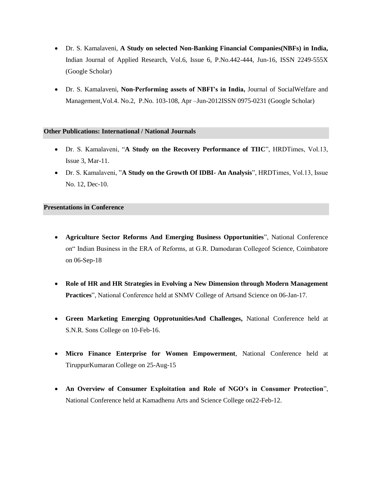- Dr. S. Kamalaveni, **A Study on selected Non-Banking Financial Companies(NBFs) in India,**  Indian Journal of Applied Research, Vol.6, Issue 6, P.No.442-444, Jun-16, ISSN 2249-555X (Google Scholar)
- Dr. S. Kamalaveni, **Non-Performing assets of NBFI's in India,** Journal of SocialWelfare and Management,Vol.4. No.2, P.No. 103-108, Apr –Jun-2012ISSN 0975-0231 (Google Scholar)

#### **Other Publications: International / National Journals**

- Dr. S. Kamalaveni, "**A Study on the Recovery Performance of TIIC**", HRDTimes, Vol.13, Issue 3, Mar-11.
- Dr. S. Kamalaveni, "**A Study on the Growth Of IDBI- An Analysis**", HRDTimes, Vol.13, Issue No. 12, Dec-10.

#### **Presentations in Conference**

- **Agriculture Sector Reforms And Emerging Business Opportunities**", National Conference on" Indian Business in the ERA of Reforms, at G.R. Damodaran Collegeof Science, Coimbatore on 06-Sep-18
- **Role of HR and HR Strategies in Evolving a New Dimension through Modern Management Practices**", National Conference held at SNMV College of Artsand Science on 06-Jan-17.
- **Green Marketing Emerging OpprotunitiesAnd Challenges,** National Conference held at S.N.R. Sons College on 10-Feb-16.
- **Micro Finance Enterprise for Women Empowerment**, National Conference held at TiruppurKumaran College on 25-Aug-15
- **An Overview of Consumer Exploitation and Role of NGO's in Consumer Protection**", National Conference held at Kamadhenu Arts and Science College on22-Feb-12.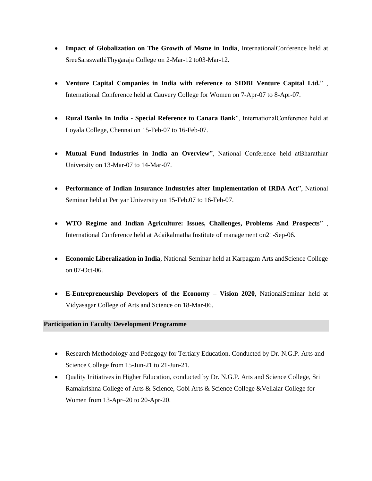- **Impact of Globalization on The Growth of Msme in India**, InternationalConference held at SreeSaraswathiThygaraja College on 2-Mar-12 to03-Mar-12.
- **Venture Capital Companies in India with reference to SIDBI Venture Capital Ltd.**" , International Conference held at Cauvery College for Women on 7-Apr-07 to 8-Apr-07.
- **Rural Banks In India - Special Reference to Canara Bank**", InternationalConference held at Loyala College, Chennai on 15-Feb-07 to 16-Feb-07.
- **Mutual Fund Industries in India an Overview**", National Conference held atBharathiar University on 13-Mar-07 to 14-Mar-07.
- **Performance of Indian Insurance Industries after Implementation of IRDA Act**", National Seminar held at Periyar University on 15-Feb.07 to 16-Feb-07.
- **WTO Regime and Indian Agriculture: Issues, Challenges, Problems And Prospects**" , International Conference held at Adaikalmatha Institute of management on21-Sep-06.
- **Economic Liberalization in India**, National Seminar held at Karpagam Arts andScience College on 07-Oct-06.
- **E-Entrepreneurship Developers of the Economy – Vision 2020**, NationalSeminar held at Vidyasagar College of Arts and Science on 18-Mar-06.

## **Participation in Faculty Development Programme**

- Research Methodology and Pedagogy for Tertiary Education. Conducted by Dr. N.G.P. Arts and Science College from 15-Jun-21 to 21-Jun-21.
- Quality Initiatives in Higher Education, conducted by Dr. N.G.P. Arts and Science College, Sri Ramakrishna College of Arts & Science, Gobi Arts & Science College &Vellalar College for Women from 13-Apr–20 to 20-Apr-20.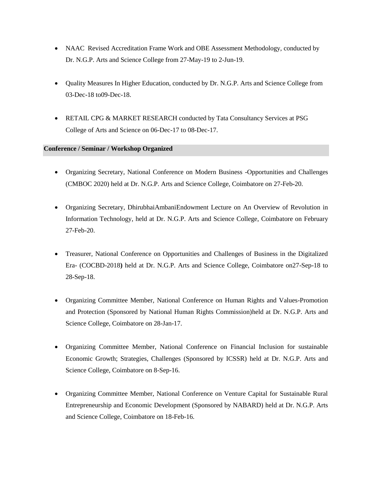- NAAC Revised Accreditation Frame Work and OBE Assessment Methodology, conducted by Dr. N.G.P. Arts and Science College from 27-May-19 to 2-Jun-19.
- Quality Measures In Higher Education, conducted by Dr. N.G.P. Arts and Science College from 03-Dec-18 to09-Dec-18.
- RETAIL CPG & MARKET RESEARCH conducted by Tata Consultancy Services at PSG College of Arts and Science on 06-Dec-17 to 08-Dec-17.

## **Conference / Seminar / Workshop Organized**

- Organizing Secretary, National Conference on Modern Business -Opportunities and Challenges (CMBOC 2020) held at Dr. N.G.P. Arts and Science College, Coimbatore on 27-Feb-20.
- Organizing Secretary, DhirubhaiAmbaniEndowment Lecture on An Overview of Revolution in Information Technology, held at Dr. N.G.P. Arts and Science College, Coimbatore on February 27-Feb-20.
- Treasurer, National Conference on Opportunities and Challenges of Business in the Digitalized Era- (COCBD-2018**)** held at Dr. N.G.P. Arts and Science College, Coimbatore on27-Sep-18 to 28-Sep-18.
- Organizing Committee Member, National Conference on Human Rights and Values-Promotion and Protection (Sponsored by National Human Rights Commission)held at Dr. N.G.P. Arts and Science College, Coimbatore on 28-Jan-17.
- Organizing Committee Member, National Conference on Financial Inclusion for sustainable Economic Growth; Strategies, Challenges (Sponsored by ICSSR) held at Dr. N.G.P. Arts and Science College, Coimbatore on 8-Sep-16.
- Organizing Committee Member, National Conference on Venture Capital for Sustainable Rural Entrepreneurship and Economic Development (Sponsored by NABARD) held at Dr. N.G.P. Arts and Science College, Coimbatore on 18-Feb-16.